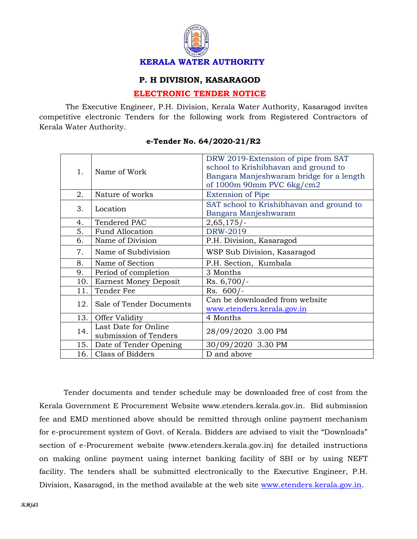

## **P. H DIVISION, KASARAGOD**

## **ELECTRONIC TENDER NOTICE**

 The Executive Engineer, P.H. Division, Kerala Water Authority, Kasaragod invites competitive electronic Tenders for the following work from Registered Contractors of Kerala Water Authority.

| 1.   | Name of Work                 | DRW 2019-Extension of pipe from SAT      |
|------|------------------------------|------------------------------------------|
|      |                              | school to Krishibhavan and ground to     |
|      |                              | Bangara Manjeshwaram bridge for a length |
|      |                              | of $1000m$ 90mm PVC $6kg/cm2$            |
| 2.   | Nature of works              | <b>Extension of Pipe</b>                 |
| 3.   | Location                     | SAT school to Krishibhavan and ground to |
|      |                              | Bangara Manjeshwaram                     |
| 4.   | Tendered PAC                 | $2,65,175/-$                             |
| 5.   | <b>Fund Allocation</b>       | DRW-2019                                 |
| 6.   | Name of Division             | P.H. Division, Kasaragod                 |
| 7.   | Name of Subdivision          | WSP Sub Division, Kasaragod              |
| 8.   | Name of Section              | P.H. Section, Kumbala                    |
| 9.   | Period of completion         | 3 Months                                 |
| 10.  | <b>Earnest Money Deposit</b> | $Rs. 6,700/-$                            |
| 11.  | Tender Fee                   | $Rs. 600/-$                              |
| 12.  | Sale of Tender Documents     | Can be downloaded from website           |
|      |                              | www.etenders.kerala.gov.in               |
| 13.  | Offer Validity               | 4 Months                                 |
| 14.  | Last Date for Online         | 28/09/2020 3.00 PM                       |
|      | submission of Tenders        |                                          |
| 15.1 | Date of Tender Opening       | 30/09/2020 3.30 PM                       |
| 16.  | Class of Bidders             | D and above                              |

## **e-Tender No. 64/2020-21/R2**

Tender documents and tender schedule may be downloaded free of cost from the Kerala Government E Procurement Website www.etenders.kerala.gov.in. Bid submission fee and EMD mentioned above should be remitted through online payment mechanism for e-procurement system of Govt. of Kerala. Bidders are advised to visit the "Downloads" section of e-Procurement website (www.etenders.kerala.gov.in) for detailed instructions on making online payment using internet banking facility of SBI or by using NEFT facility. The tenders shall be submitted electronically to the Executive Engineer, P.H. Division, Kasaragod, in the method available at the web site [www.etenders.kerala.gov.in.](www.etenders.kerala.gov.in)